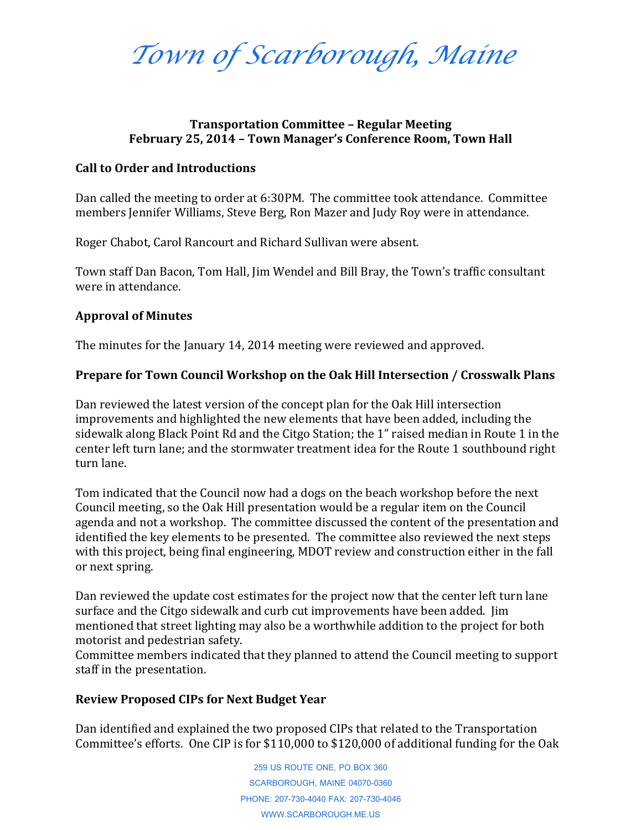*Town of Scarborough, Maine*

# **Transportation Committee – Regular Meeting February 25, 2014 – Town Manager's Conference Room, Town Hall**

#### **Call to Order and Introductions**

Dan called the meeting to order at 6:30PM. The committee took attendance. Committee members Jennifer Williams, Steve Berg, Ron Mazer and Judy Roy were in attendance.

Roger Chabot, Carol Rancourt and Richard Sullivan were absent.

Town staff Dan Bacon, Tom Hall, Jim Wendel and Bill Bray, the Town's traffic consultant were in attendance.

## **Approval of Minutes**

The minutes for the January 14, 2014 meeting were reviewed and approved.

# **Prepare for Town Council Workshop on the Oak Hill Intersection / Crosswalk Plans**

Dan reviewed the latest version of the concept plan for the Oak Hill intersection improvements and highlighted the new elements that have been added, including the sidewalk along Black Point Rd and the Citgo Station; the 1" raised median in Route 1 in the center left turn lane; and the stormwater treatment idea for the Route 1 southbound right turn lane.

Tom indicated that the Council now had a dogs on the beach workshop before the next Council meeting, so the Oak Hill presentation would be a regular item on the Council agenda and not a workshop. The committee discussed the content of the presentation and identified the key elements to be presented. The committee also reviewed the next steps with this project, being final engineering, MDOT review and construction either in the fall or next spring.

Dan reviewed the update cost estimates for the project now that the center left turn lane surface and the Citgo sidewalk and curb cut improvements have been added. Jim mentioned that street lighting may also be a worthwhile addition to the project for both motorist and pedestrian safety.

Committee members indicated that they planned to attend the Council meeting to support staff in the presentation.

## **Review Proposed CIPs for Next Budget Year**

Dan identified and explained the two proposed CIPs that related to the Transportation Committee's efforts. One CIP is for \$110,000 to \$120,000 of additional funding for the Oak

> 259 US ROUTE ONE, PO BOX 360 SCARBOROUGH, MAINE 04070-0360 PHONE: 207-730-4040 FAX: 207-730-4046 WWW.SCARBOROUGH.ME.US